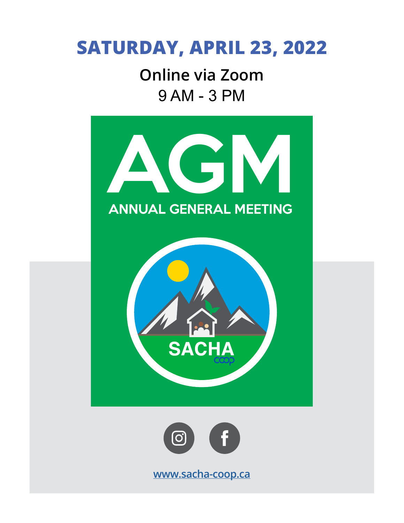## **SATURDAY, APRIL 23, 2022**

9 AM - 3 PM **Online via Zoom**

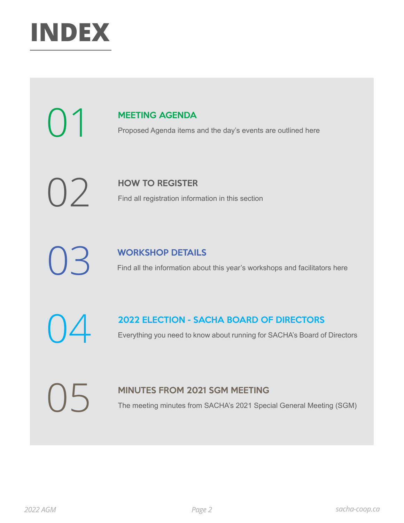

# [MEETING AGENDA](#page-2-0)<br>Proposed Agenda items

Proposed Agenda items and the day's events are outlined here

[HOW TO REGISTER](#page-3-0)<br>Find all registration inform

Find all registration information in this section

[WORKSHOP DETAILS](#page-4-0)<br>
Find all the information about this year's workshops and facilitators here

[2022 ELECTION - SACHA BOARD OF DIRECTORS](#page-7-0)<br>
Everything you need to know about running for SACHA's Board of Directors

[MINUTES FROM 2021 SGM MEETING](#page-9-0)<br>
The meeting minutes from SACHA's 2021 Special General Meeting (SGM)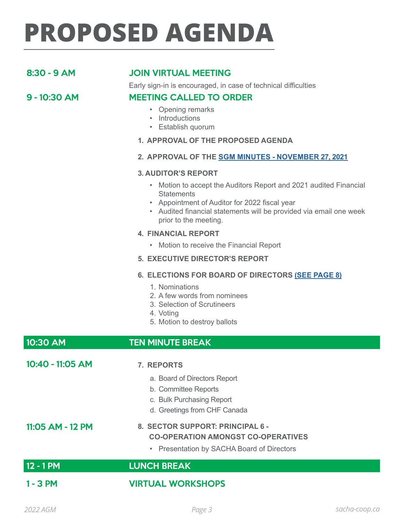# <span id="page-2-0"></span>**PROPOSED AGENDA**

### 8:30 - 9 AM JOIN VIRTUAL MEETING

Early sign-in is encouraged, in case of technical difficulties

### 9 - 10:30 AM MEETING CALLED TO ORDER

- Opening remarks
- Introductions
- Establish quorum

#### **1. APPROVAL OF THE PROPOSED AGENDA**

#### **2. APPROVAL OF THE [SGM MINUTES - NOVEMBER 27, 2021](#page-9-0)**

#### **3. AUDITOR'S REPORT**

- Motion to accept the Auditors Report and 2021 audited Financial **Statements**
- Appointment of Auditor for 2022 fiscal year
- Audited financial statements will be provided via email one week prior to the meeting.

#### **4. FINANCIAL REPORT**

• Motion to receive the Financial Report

#### **5. EXECUTIVE DIRECTOR'S REPORT**

#### **6. ELECTIONS FOR BOARD OF DIRECTORS [\(SEE PAGE 8\)](#page-7-0)**

- 1. Nominations
- 2. A few words from nominees
- 3. Selection of Scrutineers
- 4. Voting
- 5. Motion to destroy ballots

#### 10:30 AM TEN MINUTE BREAK

10:40 - 11:05 AM **7. REPORTS** a. Board of Directors Report b. Committee Reports c. Bulk Purchasing Report d. Greetings from CHF Canada 11:05 AM - 12 PM **8. SECTOR SUPPORT: PRINCIPAL 6 - CO-OPERATION AMONGST CO-OPERATIVES** • Presentation by SACHA Board of Directors 12 - 1 PM LUNCH BREAK 1 - 3 PM VIRTUAL WORKSHOPS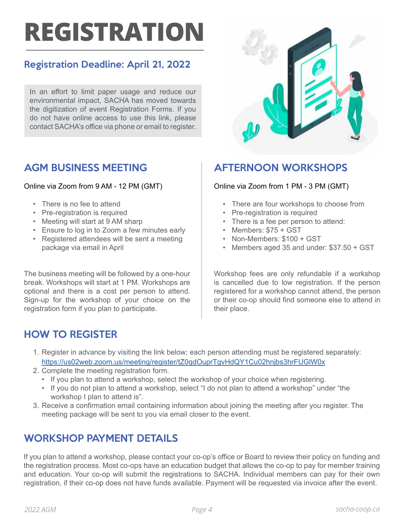# <span id="page-3-0"></span>**REGISTRATION**

### Registration Deadline: April 21, 2022

In an effort to limit paper usage and reduce our environmental impact, SACHA has moved towards the digitization of event Registration Forms. If you do not have online access to use this link, please contact SACHA's office via phone or email to register.

### AGM BUSINESS MEETING

#### Online via Zoom from 9 AM - 12 PM (GMT)

- There is no fee to attend
- Pre-registration is required
- Meeting will start at 9 AM sharp
- Ensure to log in to Zoom a few minutes early
- Registered attendees will be sent a meeting package via email in April

The business meeting will be followed by a one-hour break. Workshops will start at 1 PM. Workshops are optional and there is a cost per person to attend. Sign-up for the workshop of your choice on the registration form if you plan to participate.



## AFTERNOON WORKSHOPS

#### Online via Zoom from 1 PM - 3 PM (GMT)

- There are four workshops to choose from
- Pre-registration is required
- There is a fee per person to attend:
- Members: \$75 + GST
- Non-Members: \$100 + GST
- Members aged 35 and under: \$37.50 + GST

Workshop fees are only refundable if a workshop is cancelled due to low registration. If the person registered for a workshop cannot attend, the person or their co-op should find someone else to attend in their place.

### HOW TO REGISTER

- 1. Register in advance by visiting the link below; each person attending must be registered separately: https://us02web.zoom.us/meeting/register/tZ0qdOuprTgvHdQY1Cu02hnjbs3hrFUGlW0x
- 2. Complete the meeting registration form.
	- If you plan to attend a workshop, select the workshop of your choice when registering.
	- If you do not plan to attend a workshop, select "I do not plan to attend a workshop" under "the workshop I plan to attend is".
- 3. Receive a confirmation email containing information about joining the meeting after you register. The meeting package will be sent to you via email closer to the event.

## WORKSHOP PAYMENT DETAILS

If you plan to attend a workshop, please contact your co-op's office or Board to review their policy on funding and the registration process. Most co-ops have an education budget that allows the co-op to pay for member training and education. Your co-op will submit the registrations to SACHA. Individual members can pay for their own registration, if their co-op does not have funds available. Payment will be requested via invoice after the event.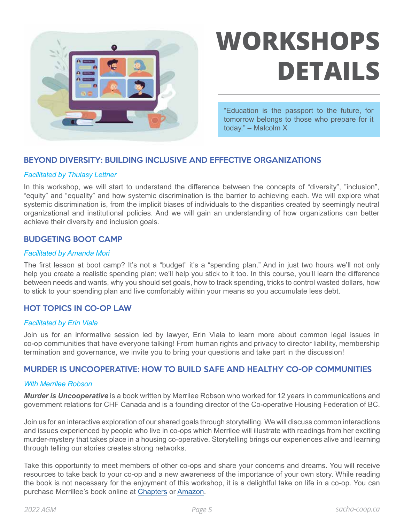<span id="page-4-0"></span>

# **WORKSHOPS DETAILS**

"Education is the passport to the future, for tomorrow belongs to those who prepare for it today." – Malcolm X

#### BEYOND DIVERSITY: BUILDING INCLUSIVE AND EFFECTIVE ORGANIZATIONS

#### *Facilitated by Thulasy Lettner*

In this workshop, we will start to understand the difference between the concepts of "diversity", "inclusion", "equity" and "equality" and how systemic discrimination is the barrier to achieving each. We will explore what systemic discrimination is, from the implicit biases of individuals to the disparities created by seemingly neutral organizational and institutional policies. And we will gain an understanding of how organizations can better achieve their diversity and inclusion goals.

#### BUDGETING BOOT CAMP

#### *Facilitated by Amanda Mori*

The first lesson at boot camp? It's not a "budget" it's a "spending plan." And in just two hours we'll not only help you create a realistic spending plan; we'll help you stick to it too. In this course, you'll learn the difference between needs and wants, why you should set goals, how to track spending, tricks to control wasted dollars, how to stick to your spending plan and live comfortably within your means so you accumulate less debt.

#### HOT TOPICS IN CO-OP LAW

#### *Facilitated by Erin Viala*

Join us for an informative session led by lawyer, Erin Viala to learn more about common legal issues in co-op communities that have everyone talking! From human rights and privacy to director liability, membership termination and governance, we invite you to bring your questions and take part in the discussion!

#### MURDER IS UNCOOPERATIVE: HOW TO BUILD SAFE AND HEALTHY CO-OP COMMUNITIES

#### *With Merrilee Robson*

*Murder is Uncooperative* is a book written by Merrilee Robson who worked for 12 years in communications and government relations for CHF Canada and is a founding director of the Co-operative Housing Federation of BC.

Join us for an interactive exploration of our shared goals through storytelling. We will discuss common interactions and issues experienced by people who live in co-ops which Merrilee will illustrate with readings from her exciting murder-mystery that takes place in a housing co-operative. Storytelling brings our experiences alive and learning through telling our stories creates strong networks.

Take this opportunity to meet members of other co-ops and share your concerns and dreams. You will receive resources to take back to your co-op and a new awareness of the importance of your own story. While reading the book is not necessary for the enjoyment of this workshop, it is a delightful take on life in a co-op. You can purchase Merrillee's book online at [Chapters](https://www.chapters.indigo.ca/en-ca/books/murder-is-uncooperative/9781682010310-item.html) or [Amazon](https://www.amazon.ca/Murder-Uncooperative-Merrilee-Robson/dp/1682010317/).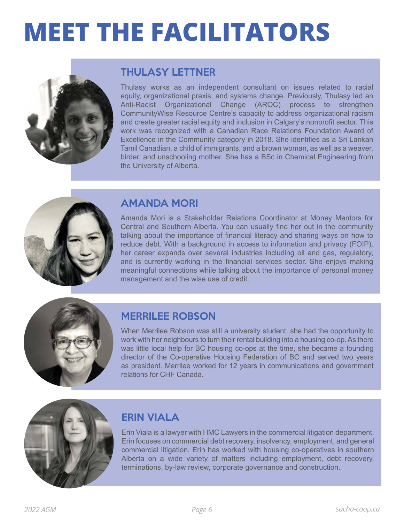# **MEET THE FACILITATORS**



## THULASY LETTNER

Thulasy works as an independent consultant on issues related to racial equity, organizational praxis, and systems change. Previously, Thulasy led an Anti-Racist Organizational Change (AROC) process to strengthen CommunityWise Resource Centre's capacity to address organizational racism and create greater racial equity and inclusion in Calgary's nonprofit sector. This work was recognized with a Canadian Race Relations Foundation Award of Excellence in the Community category in 2018. She identifies as a Sri Lankan Tamil Canadian, a child of immigrants, and a brown woman, as well as a weaver, birder, and unschooling mother. She has a BSc in Chemical Engineering from the University of Alberta.



### AMANDA MORI

Amanda Mori is a Stakeholder Relations Coordinator at Money Mentors for Central and Southern Alberta. You can usually find her out in the community talking about the importance of financial literacy and sharing ways on how to reduce debt. With a background in access to information and privacy (FOIP), her career expands over several industries including oil and gas, regulatory, and is currently working in the financial services sector. She enjoys making meaningful connections while talking about the importance of personal money management and the wise use of credit.



## MERRILEE ROBSON

When Merrilee Robson was still a university student, she had the opportunity to work with her neighbours to turn their rental building into a housing co-op. As there was little local help for BC housing co-ops at the time, she became a founding director of the Co-operative Housing Federation of BC and served two years as president. Merrilee worked for 12 years in communications and government relations for CHF Canada.



## ERIN VIALA

Erin Viala is a lawyer with HMC Lawyers in the commercial litigation department. Erin focuses on commercial debt recovery, insolvency, employment, and general commercial litigation. Erin has worked with housing co-operatives in southern Alberta on a wide variety of matters including employment, debt recovery, terminations, by-law review, corporate governance and construction.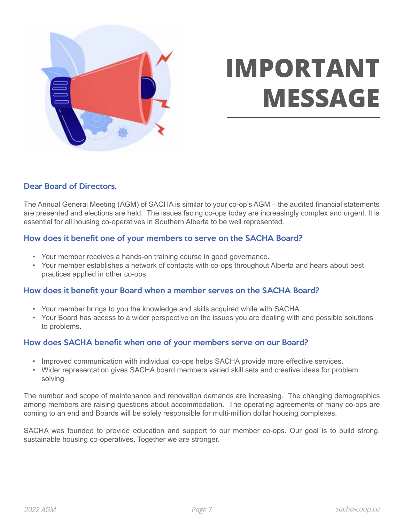

# **IMPORTANT MESSAGE**

#### Dear Board of Directors,

The Annual General Meeting (AGM) of SACHA is similar to your co-op's AGM – the audited financial statements are presented and elections are held. The issues facing co-ops today are increasingly complex and urgent. It is essential for all housing co-operatives in Southern Alberta to be well represented.

#### How does it benefit one of your members to serve on the SACHA Board?

- Your member receives a hands-on training course in good governance.
- Your member establishes a network of contacts with co-ops throughout Alberta and hears about best practices applied in other co-ops.

#### How does it benefit your Board when a member serves on the SACHA Board?

- Your member brings to you the knowledge and skills acquired while with SACHA.
- Your Board has access to a wider perspective on the issues you are dealing with and possible solutions to problems.

#### How does SACHA benefit when one of your members serve on our Board?

- Improved communication with individual co-ops helps SACHA provide more effective services.
- Wider representation gives SACHA board members varied skill sets and creative ideas for problem solving.

The number and scope of maintenance and renovation demands are increasing. The changing demographics among members are raising questions about accommodation. The operating agreements of many co-ops are coming to an end and Boards will be solely responsible for multi-million dollar housing complexes.

SACHA was founded to provide education and support to our member co-ops. Our goal is to build strong, sustainable housing co-operatives. Together we are stronger.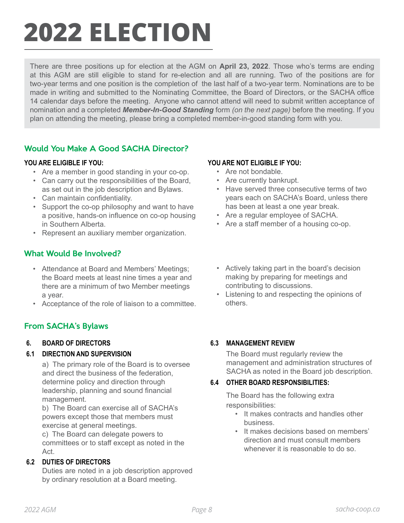# <span id="page-7-0"></span>**2022 ELECTION**

There are three positions up for election at the AGM on **April 23, 2022**. Those who's terms are ending at this AGM are still eligible to stand for re-election and all are running. Two of the positions are for two-year terms and one position is the completion of the last half of a two-year term. Nominations are to be made in writing and submitted to the Nominating Committee, the Board of Directors, or the SACHA office 14 calendar days before the meeting. Anyone who cannot attend will need to submit written acceptance of nomination and a completed *Member-In-Good Standing* form *(on the next page)* before the meeting. If you plan on attending the meeting, please bring a completed member-in-good standing form with you.

### Would You Make A Good SACHA Director?

- Are a member in good standing in your co-op.
- Can carry out the responsibilities of the Board, as set out in the job description and Bylaws.
- Can maintain confidentiality.
- Support the co-op philosophy and want to have a positive, hands-on influence on co-op housing in Southern Alberta.
- Represent an auxiliary member organization.

### What Would Be Involved?

- Attendance at Board and Members' Meetings; the Board meets at least nine times a year and there are a minimum of two Member meetings a year.
- Acceptance of the role of liaison to a committee.

### From SACHA's Bylaws

#### **6. BOARD OF DIRECTORS**

#### **6.1 DIRECTION AND SUPERVISION**

a) The primary role of the Board is to oversee and direct the business of the federation, determine policy and direction through leadership, planning and sound financial management.

b) The Board can exercise all of SACHA's powers except those that members must exercise at general meetings.

c) The Board can delegate powers to committees or to staff except as noted in the Act.

#### **6.2 DUTIES OF DIRECTORS**

Duties are noted in a job description approved by ordinary resolution at a Board meeting.

#### **YOU ARE ELIGIBLE IF YOU: YOU ARE NOT ELIGIBLE IF YOU:**

- Are not bondable.
- Are currently bankrupt.
- Have served three consecutive terms of two years each on SACHA's Board, unless there has been at least a one year break.
- Are a regular employee of SACHA.
- Are a staff member of a housing co-op.
- Actively taking part in the board's decision making by preparing for meetings and contributing to discussions.
- Listening to and respecting the opinions of others.

#### **6.3 MANAGEMENT REVIEW**

The Board must regularly review the management and administration structures of SACHA as noted in the Board job description.

#### **6.4 OTHER BOARD RESPONSIBILITIES:**

The Board has the following extra responsibilities:

- It makes contracts and handles other business.
- It makes decisions based on members' direction and must consult members whenever it is reasonable to do so.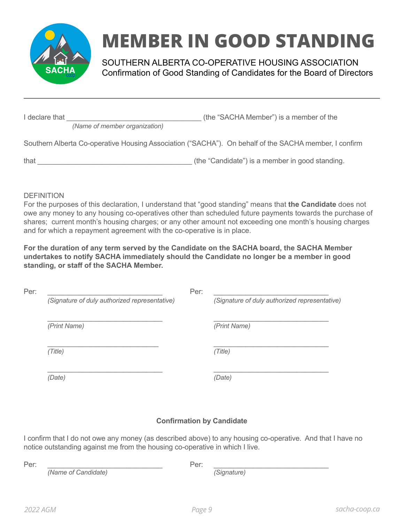

# **MEMBER IN GOOD STANDING**

SOUTHERN ALBERTA CO-OPERATIVE HOUSING ASSOCIATION Confirmation of Good Standing of Candidates for the Board of Directors

*(Name of member organization)*

I declare that **I** declare that **the substantial contract of the "SACHA Member") is a member of the** 

Southern Alberta Co-operative Housing Association ("SACHA"). On behalf of the SACHA member, I confirm

that  $\rule{1em}{0.15mm}$  (the "Candidate") is a member in good standing.

**DEFINITION** 

For the purposes of this declaration, I understand that "good standing" means that **the Candidate** does not owe any money to any housing co-operatives other than scheduled future payments towards the purchase of shares; current month's housing charges; or any other amount not exceeding one month's housing charges and for which a repayment agreement with the co-operative is in place.

**For the duration of any term served by the Candidate on the SACHA board, the SACHA Member undertakes to notify SACHA immediately should the Candidate no longer be a member in good standing, or staff of the SACHA Member.**

| Per: |                                               | Per: |                                               |
|------|-----------------------------------------------|------|-----------------------------------------------|
|      | (Signature of duly authorized representative) |      | (Signature of duly authorized representative) |
|      | (Print Name)                                  |      | (Print Name)                                  |
|      | (Title)                                       |      | (Title)                                       |
|      | (Date)                                        |      | (Date)                                        |

### **Confirmation by Candidate**

I confirm that I do not owe any money (as described above) to any housing co-operative. And that I have no notice outstanding against me from the housing co-operative in which I live.

*(Name of Candidate) (Signature)*

Per: \_\_\_\_\_\_\_\_\_\_\_\_\_\_\_\_\_\_\_\_\_\_\_\_\_\_\_\_\_ Per: \_\_\_\_\_\_\_\_\_\_\_\_\_\_\_\_\_\_\_\_\_\_\_\_\_\_\_\_\_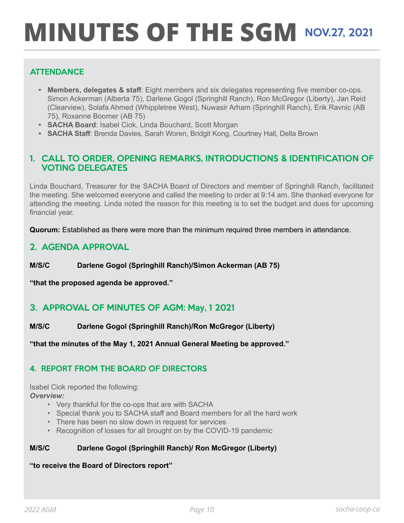# <span id="page-9-0"></span>**MINUTES OF THE SGM NOV.27, 2021**

### **ATTENDANCE**

- **• Members, delegates & staff**: Eight members and six delegates representing five member co-ops. Simon Ackerman (Alberta 75), Darlene Gogol (Springhill Ranch), Ron McGregor (Liberty), Jan Reid (Clearview), Solafa Ahmed (Whippletree West), Nuwasir Arham (Springhill Ranch), Erik Ravnic (AB 75), Roxanne Boomer (AB 75)
- **• SACHA Board**: Isabel Ciok, Linda Bouchard, Scott Morgan
- **• SACHA Staff**: Brenda Davies, Sarah Woren, Bridgit Kong, Courtney Hall, Della Brown

#### 1. CALL TO ORDER, OPENING REMARKS, INTRODUCTIONS & IDENTIFICATION OF VOTING DELEGATES

Linda Bouchard, Treasurer for the SACHA Board of Directors and member of Springhill Ranch, facilitated the meeting. She welcomed everyone and called the meeting to order at 9:14 am. She thanked everyone for attending the meeting. Linda noted the reason for this meeting is to set the budget and dues for upcoming financial year.

**Quorum:** Established as there were more than the minimum required three members in attendance.

#### 2. AGENDA APPROVAL

#### **M/S/C Darlene Gogol (Springhill Ranch)/Simon Ackerman (AB 75)**

**"that the proposed agenda be approved."**

### 3. APPROVAL OF MINUTES OF AGM: May, 1 2021

**M/S/C Darlene Gogol (Springhill Ranch)/Ron McGregor (Liberty)**

**"that the minutes of the May 1, 2021 Annual General Meeting be approved."**

#### 4. REPORT FROM THE BOARD OF DIRECTORS

Isabel Ciok reported the following: *Overview:*

- Very thankful for the co-ops that are with SACHA
- Special thank you to SACHA staff and Board members for all the hard work
- There has been no slow down in request for services
- Recognition of losses for all brought on by the COVID-19 pandemic

#### **M/S/C Darlene Gogol (Springhill Ranch)/ Ron McGregor (Liberty)**

#### **"to receive the Board of Directors report"**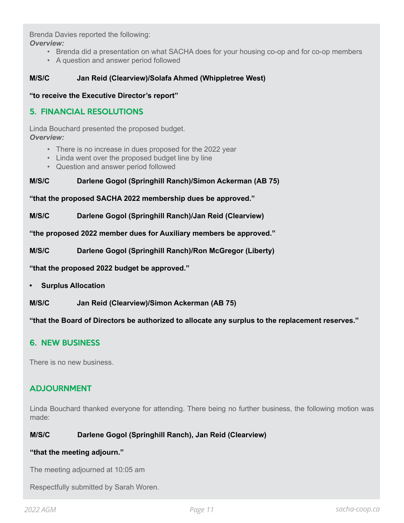Brenda Davies reported the following:

*Overview:*

- Brenda did a presentation on what SACHA does for your housing co-op and for co-op members
- A question and answer period followed

#### **M/S/C Jan Reid (Clearview)/Solafa Ahmed (Whippletree West)**

**"to receive the Executive Director's report"**

#### 5. FINANCIAL RESOLUTIONS

Linda Bouchard presented the proposed budget. *Overview:*

- There is no increase in dues proposed for the 2022 year
- Linda went over the proposed budget line by line
- Question and answer period followed

#### **M/S/C Darlene Gogol (Springhill Ranch)/Simon Ackerman (AB 75)**

**"that the proposed SACHA 2022 membership dues be approved."**

**M/S/C Darlene Gogol (Springhill Ranch)/Jan Reid (Clearview)**

**"the proposed 2022 member dues for Auxiliary members be approved."**

**M/S/C Darlene Gogol (Springhill Ranch)/Ron McGregor (Liberty)**

**"that the proposed 2022 budget be approved."**

**• Surplus Allocation**

**M/S/C Jan Reid (Clearview)/Simon Ackerman (AB 75)**

**"that the Board of Directors be authorized to allocate any surplus to the replacement reserves."**

#### 6. NEW BUSINESS

There is no new business.

#### ADJOURNMENT

Linda Bouchard thanked everyone for attending. There being no further business, the following motion was made:

#### **M/S/C Darlene Gogol (Springhill Ranch), Jan Reid (Clearview)**

#### **"that the meeting adjourn."**

The meeting adjourned at 10:05 am

Respectfully submitted by Sarah Woren.